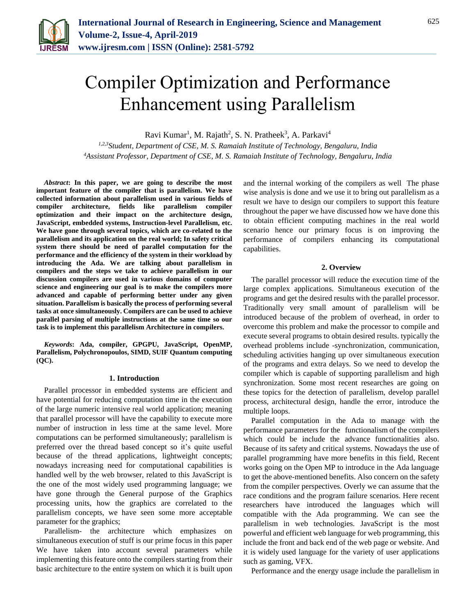

# Compiler Optimization and Performance Enhancement using Parallelism

Ravi Kumar<sup>1</sup>, M. Rajath<sup>2</sup>, S. N. Pratheek<sup>3</sup>, A. Parkavi<sup>4</sup>

*1,2,3Student, Department of CSE, M. S. Ramaiah Institute of Technology, Bengaluru, India 4Assistant Professor, Department of CSE, M. S. Ramaiah Institute of Technology, Bengaluru, India*

*Abstract***: In this paper, we are going to describe the most important feature of the compiler that is parallelism. We have collected information about parallelism used in various fields of compiler architecture, fields like parallelism compiler optimization and their impact on the architecture design, JavaScript, embedded systems, Instruction-level Parallelism, etc. We have gone through several topics, which are co-related to the parallelism and its application on the real world; In safety critical system there should be need of parallel computation for the performance and the efficiency of the system in their workload by introducing the Ada. We are talking about parallelism in compilers and the steps we take to achieve parallelism in our discussion compilers are used in various domains of computer science and engineering our goal is to make the compilers more advanced and capable of performing better under any given situation. Parallelism is basically the process of performing several tasks at once simultaneously. Compilers are can be used to achieve parallel parsing of multiple instructions at the same time so our task is to implement this parallelism Architecture in compilers.**

*Keywords***: Ada, compiler, GPGPU, JavaScript, OpenMP, Parallelism, Polychronopoulos, SIMD, SUIF Quantum computing (QC).**

#### **1. Introduction**

Parallel processor in embedded systems are efficient and have potential for reducing computation time in the execution of the large numeric intensive real world application; meaning that parallel processor will have the capability to execute more number of instruction in less time at the same level. More computations can be performed simultaneously; parallelism is preferred over the thread based concept so it's quite useful because of the thread applications, lightweight concepts; nowadays increasing need for computational capabilities is handled well by the web browser, related to this JavaScript is the one of the most widely used programming language; we have gone through the General purpose of the Graphics processing units, how the graphics are correlated to the parallelism concepts, we have seen some more acceptable parameter for the graphics;

Parallelism- the architecture which emphasizes on simultaneous execution of stuff is our prime focus in this paper We have taken into account several parameters while implementing this feature onto the compilers starting from their basic architecture to the entire system on which it is built upon and the internal working of the compilers as well The phase wise analysis is done and we use it to bring out parallelism as a result we have to design our compilers to support this feature throughout the paper we have discussed how we have done this to obtain efficient computing machines in the real world scenario hence our primary focus is on improving the performance of compilers enhancing its computational capabilities.

## **2. Overview**

The parallel processor will reduce the execution time of the large complex applications. Simultaneous execution of the programs and get the desired results with the parallel processor. Traditionally very small amount of parallelism will be introduced because of the problem of overhead, in order to overcome this problem and make the processor to compile and execute several programs to obtain desired results. typically the overhead problems include -synchronization, communication, scheduling activities hanging up over simultaneous execution of the programs and extra delays. So we need to develop the compiler which is capable of supporting parallelism and high synchronization. Some most recent researches are going on these topics for the detection of parallelism, develop parallel process, architectural design, handle the error, introduce the multiple loops.

Parallel computation in the Ada to manage with the performance parameters for the functionalism of the compilers which could be include the advance functionalities also. Because of its safety and critical systems. Nowadays the use of parallel programming have more benefits in this field, Recent works going on the Open MP to introduce in the Ada language to get the above-mentioned benefits. Also concern on the safety from the compiler perspectives. Overly we can assume that the race conditions and the program failure scenarios. Here recent researchers have introduced the languages which will compatible with the Ada programming. We can see the parallelism in web technologies. JavaScript is the most powerful and efficient web language for web programming, this include the front and back end of the web page or website. And it is widely used language for the variety of user applications such as gaming, VFX.

Performance and the energy usage include the parallelism in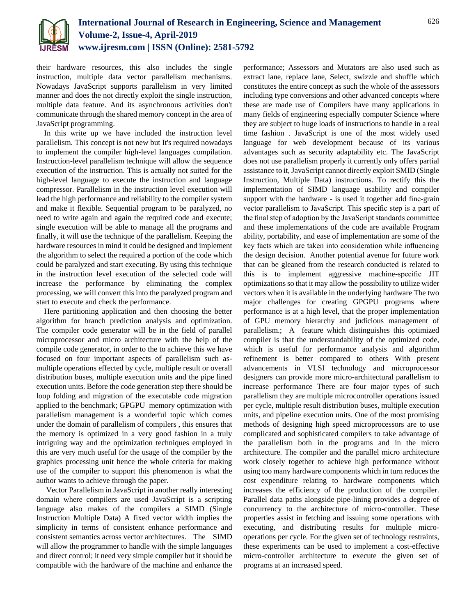

their hardware resources, this also includes the single instruction, multiple data vector parallelism mechanisms. Nowadays JavaScript supports parallelism in very limited manner and does the not directly exploit the single instruction, multiple data feature. And its asynchronous activities don't communicate through the shared memory concept in the area of JavaScript programming.

In this write up we have included the instruction level parallelism. This concept is not new but It's required nowadays to implement the compiler high-level languages compilation. Instruction-level parallelism technique will allow the sequence execution of the instruction. This is actually not suited for the high-level language to execute the instruction and language compressor. Parallelism in the instruction level execution will lead the high performance and reliability to the compiler system and make it flexible. Sequential program to be paralyzed, no need to write again and again the required code and execute; single execution will be able to manage all the programs and finally, it will use the technique of the parallelism. Keeping the hardware resources in mind it could be designed and implement the algorithm to select the required a portion of the code which could be paralyzed and start executing. By using this technique in the instruction level execution of the selected code will increase the performance by eliminating the complex processing, we will convert this into the paralyzed program and start to execute and check the performance.

Here partitioning application and then choosing the better algorithm for branch prediction analysis and optimization. The compiler code generator will be in the field of parallel microprocessor and micro architecture with the help of the compile code generator, in order to the to achieve this we have focused on four important aspects of parallelism such asmultiple operations effected by cycle, multiple result or overall distribution buses, multiple execution units and the pipe lined execution units. Before the code generation step there should be loop folding and migration of the executable code migration applied to the benchmark; GPGPU memory optimization with parallelism management is a wonderful topic which comes under the domain of parallelism of compilers , this ensures that the memory is optimized in a very good fashion in a truly intriguing way and the optimization techniques employed in this are very much useful for the usage of the compiler by the graphics processing unit hence the whole criteria for making use of the compiler to support this phenomenon is what the author wants to achieve through the paper.

Vector Parallelism in JavaScript in another really interesting domain where compilers are used JavaScript is a scripting language also makes of the compilers a SIMD (Single Instruction Multiple Data) A fixed vector width implies the simplicity in terms of consistent enhance performance and consistent semantics across vector architectures. The SIMD will allow the programmer to handle with the simple languages and direct control; it need very simple compiler but it should be compatible with the hardware of the machine and enhance the

performance; Assessors and Mutators are also used such as extract lane, replace lane, Select, swizzle and shuffle which constitutes the entire concept as such the whole of the assessors including type conversions and other advanced concepts where these are made use of Compilers have many applications in many fields of engineering especially computer Science where they are subject to huge loads of instructions to handle in a real time fashion . JavaScript is one of the most widely used language for web development because of its various advantages such as security adaptability etc. The JavaScript does not use parallelism properly it currently only offers partial assistance to it, JavaScript cannot directly exploit SMID (Single Instruction, Multiple Data) instructions. To rectify this the implementation of SIMD language usability and compiler support with the hardware - is used it together add fine-grain vector parallelism to JavaScript. This specific step is a part of the final step of adoption by the JavaScript standards committee and these implementations of the code are available Program ability, portability, and ease of implementation are some of the key facts which are taken into consideration while influencing the design decision. Another potential avenue for future work that can be gleaned from the research conducted is related to this is to implement aggressive machine-specific JIT optimizations so that it may allow the possibility to utilize wider vectors when it is available in the underlying hardware The two major challenges for creating GPGPU programs where performance is at a high level, that the proper implementation of GPU memory hierarchy and judicious management of parallelism.; A feature which distinguishes this optimized compiler is that the understandability of the optimized code, which is useful for performance analysis and algorithm refinement is better compared to others With present advancements in VLSI technology and microprocessor designers can provide more micro-architectural parallelism to increase performance There are four major types of such parallelism they are multiple microcontroller operations issued per cycle, multiple result distribution buses, multiple execution units, and pipeline execution units. One of the most promising methods of designing high speed microprocessors are to use complicated and sophisticated compilers to take advantage of the parallelism both in the programs and in the micro architecture. The compiler and the parallel micro architecture work closely together to achieve high performance without using too many hardware components which in turn reduces the cost expenditure relating to hardware components which increases the efficiency of the production of the compiler. Parallel data paths alongside pipe-lining provides a degree of concurrency to the architecture of micro-controller. These properties assist in fetching and issuing some operations with executing, and distributing results for multiple microoperations per cycle. For the given set of technology restraints, these experiments can be used to implement a cost-effective micro-controller architecture to execute the given set of programs at an increased speed.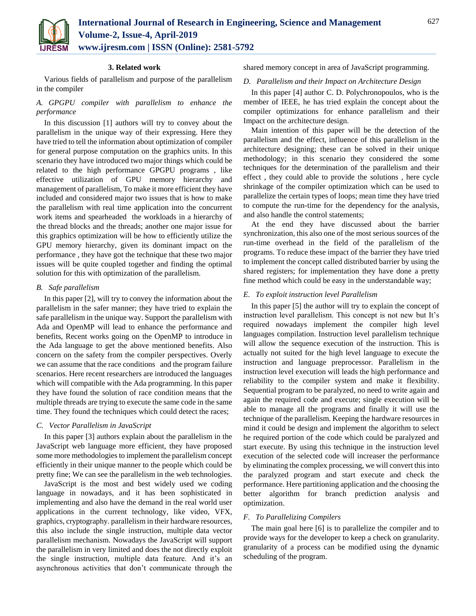

## **3. Related work**

Various fields of parallelism and purpose of the parallelism in the compiler

# *A. GPGPU compiler with parallelism to enhance the performance*

In this discussion [1] authors will try to convey about the parallelism in the unique way of their expressing. Here they have tried to tell the information about optimization of compiler for general purpose computation on the graphics units. In this scenario they have introduced two major things which could be related to the high performance GPGPU programs , like effective utilization of GPU memory hierarchy and management of parallelism, To make it more efficient they have included and considered major two issues that is how to make the parallelism with real time application into the concurrent work items and spearheaded the workloads in a hierarchy of the thread blocks and the threads; another one major issue for this graphics optimization will be how to efficiently utilize the GPU memory hierarchy, given its dominant impact on the performance , they have got the technique that these two major issues will be quite coupled together and finding the optimal solution for this with optimization of the parallelism.

## *B. Safe parallelism*

In this paper [2], will try to convey the information about the parallelism in the safer manner; they have tried to explain the safe parallelism in the unique way. Support the parallelism with Ada and OpenMP will lead to enhance the performance and benefits, Recent works going on the OpenMP to introduce in the Ada language to get the above mentioned benefits. Also concern on the safety from the compiler perspectives. Overly we can assume that the race conditions and the program failure scenarios. Here recent researchers are introduced the languages which will compatible with the Ada programming. In this paper they have found the solution of race condition means that the multiple threads are trying to execute the same code in the same time. They found the techniques which could detect the races;

## *C. Vector Parallelism in JavaScript*

In this paper [3] authors explain about the parallelism in the JavaScript web language more efficient, they have proposed some more methodologies to implement the parallelism concept efficiently in their unique manner to the people which could be pretty fine; We can see the parallelism in the web technologies.

JavaScript is the most and best widely used we coding language in nowadays, and it has been sophisticated in implementing and also have the demand in the real world user applications in the current technology, like video, VFX, graphics, cryptography. parallelism in their hardware resources, this also include the single instruction, multiple data vector parallelism mechanism. Nowadays the JavaScript will support the parallelism in very limited and does the not directly exploit the single instruction, multiple data feature. And it's an asynchronous activities that don't communicate through the

shared memory concept in area of JavaScript programming.

## *D. Parallelism and their Impact on Architecture Design*

In this paper [4] author C. D. Polychronopoulos, who is the member of IEEE, he has tried explain the concept about the compiler optimizations for enhance parallelism and their Impact on the architecture design.

Main intention of this paper will be the detection of the parallelism and the effect, influence of this parallelism in the architecture designing; these can be solved in their unique methodology; in this scenario they considered the some techniques for the determination of the parallelism and their effect , they could able to provide the solutions , here cycle shrinkage of the compiler optimization which can be used to parallelize the certain types of loops; mean time they have tried to compute the run-time for the dependency for the analysis, and also handle the control statements;

At the end they have discussed about the barrier synchronization, this also one of the most serious sources of the run-time overhead in the field of the parallelism of the programs. To reduce these impact of the barrier they have tried to implement the concept called distributed barrier by using the shared registers; for implementation they have done a pretty fine method which could be easy in the understandable way;

## *E. To exploit instruction level Parallelism*

In this paper [5] the author will try to explain the concept of instruction level parallelism. This concept is not new but It's required nowadays implement the compiler high level languages compilation. Instruction level parallelism technique will allow the sequence execution of the instruction. This is actually not suited for the high level language to execute the instruction and language preprocessor. Parallelism in the instruction level execution will leads the high performance and reliability to the compiler system and make it flexibility. Sequential program to be paralyzed, no need to write again and again the required code and execute; single execution will be able to manage all the programs and finally it will use the technique of the parallelism. Keeping the hardware resources in mind it could be design and implement the algorithm to select he required portion of the code which could be paralyzed and start execute. By using this technique in the instruction level execution of the selected code will increaser the performance by eliminating the complex processing, we will convert this into the paralyzed program and start execute and check the performance. Here partitioning application and the choosing the better algorithm for branch prediction analysis and optimization.

## *F. To Parallelizing Compilers*

The main goal here [6] is to parallelize the compiler and to provide ways for the developer to keep a check on granularity. granularity of a process can be modified using the dynamic scheduling of the program.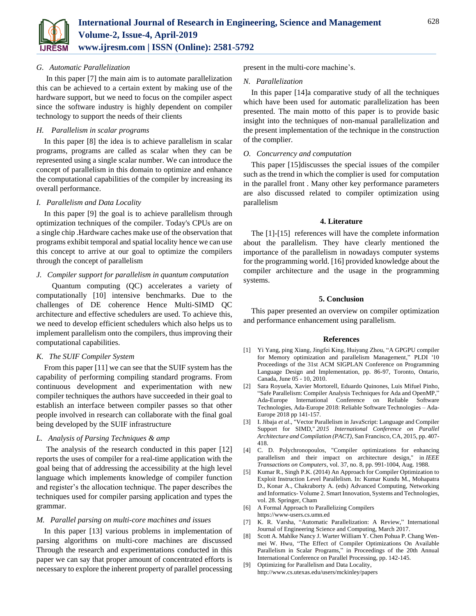

# *G. Automatic Parallelization*

In this paper [7] the main aim is to automate parallelization this can be achieved to a certain extent by making use of the hardware support, but we need to focus on the compiler aspect since the software industry is highly dependent on compiler technology to support the needs of their clients

# *H. Parallelism in scalar programs*

In this paper [8] the idea is to achieve parallelism in scalar programs, programs are called as scalar when they can be represented using a single scalar number. We can introduce the concept of parallelism in this domain to optimize and enhance the computational capabilities of the compiler by increasing its overall performance.

# *I. Parallelism and Data Locality*

In this paper [9] the goal is to achieve parallelism through optimization techniques of the compiler. Today's CPUs are on a single chip .Hardware caches make use of the observation that programs exhibit temporal and spatial locality hence we can use this concept to arrive at our goal to optimize the compilers through the concept of parallelism

## *J. Compiler support for parallelism in quantum computation*

 Quantum computing (QC) accelerates a variety of computationally [10] intensive benchmarks. Due to the challenges of DE coherence Hence Multi-SIMD QC architecture and effective schedulers are used. To achieve this, we need to develop efficient schedulers which also helps us to implement parallelism onto the compilers, thus improving their computational capabilities.

# *K. The SUIF Compiler System*

From this paper [11] we can see that the SUIF system has the capability of performing compiling standard programs. From continuous development and experimentation with new compiler techniques the authors have succeeded in their goal to establish an interface between compiler passes so that other people involved in research can collaborate with the final goal being developed by the SUIF infrastructure

## *L. Analysis of Parsing Techniques & amp*

The analysis of the research conducted in this paper [12] reports the uses of compiler for a real-time application with the goal being that of addressing the accessibility at the high level language which implements knowledge of compiler function and register's the allocation technique. The paper describes the techniques used for compiler parsing application and types the grammar.

## *M. Parallel parsing on multi-core machines and issues*

In this paper [13] various problems in implementation of parsing algorithms on multi-core machines are discussed Through the research and experimentations conducted in this paper we can say that proper amount of concentrated efforts is necessary to explore the inherent property of parallel processing

present in the multi-core machine's.

## *N. Parallelization*

In this paper [14]a comparative study of all the techniques which have been used for automatic parallelization has been presented. The main motto of this paper is to provide basic insight into the techniques of non-manual parallelization and the present implementation of the technique in the construction of the complier.

## *O. Concurrency and computation*

This paper [15]discusses the special issues of the compiler such as the trend in which the complier is used for computation in the parallel front . Many other key performance parameters are also discussed related to compiler optimization using parallelism

## **4. Literature**

The [1]-[15] references will have the complete information about the parallelism. They have clearly mentioned the importance of the parallelism in nowadays computer systems for the programming world. [16] provided knowledge about the compiler architecture and the usage in the programming systems.

## **5. Conclusion**

This paper presented an overview on compiler optimization and performance enhancement using parallelism.

## **References**

- [1] Yi Yang, ping Xiang, Jingfei King, Huiyang Zhou, "A GPGPU compiler for Memory optimization and parallelism Management," PLDI '10 Proceedings of the 31st ACM SIGPLAN Conference on Programming Language Design and Implementation, pp. 86-97, Toronto, Ontario, Canada, June 05 - 10, 2010.
- [2] Sara Royuela, Xavier Mortorell, Eduardo Quinones, Luis Mifuel Pinho, "Safe Parallelism: Compiler Analysis Techniques for Ada and OpenMP," Ada-Europe International Conference on Reliable Software Technologies, Ada-Europe 2018: Reliable Software Technologies – Ada-Europe 2018 pp 141-157.
- [3] I. Jibaja *et al*., "Vector Parallelism in JavaScript: Language and Compiler Support for SIMD," *2015 International Conference on Parallel Architecture and Compilation (PACT)*, San Francisco, CA, 2015, pp. 407- 418.
- [4] C. D. Polychronopoulos, "Compiler optimizations for enhancing parallelism and their impact on architecture design," in *IEEE Transactions on Computers*, vol. 37, no. 8, pp. 991-1004, Aug. 1988.
- [5] Kumar R., Singh P.K. (2014) An Approach for Compiler Optimization to Exploit Instruction Level Parallelism. In: Kumar Kundu M., Mohapatra D., Konar A., Chakraborty A. (eds) Advanced Computing, Networking and Informatics- Volume 2. Smart Innovation, Systems and Technologies, vol. 28. Springer, Cham
- [6] A Formal Approach to Parallelizing Compilers
- https://www-users.cs.umn.ed
- [7] K. R. Varsha, "Automatic Parallelization: A Review," International Journal of Engineering Science and Computing, March 2017.
- [8] Scott A. Mahlke Nancy J. Warter William Y. Chen Pohua P. Chang Wenmei W. Hwu, "The Effect of Compiler Optimizations On Available Parallelism in Scalar Programs," in Proceedings of the 20th Annual International Conference on Parallel Processing, pp. 142-145.
- [9] Optimizing for Parallelism and Data Locality, http://www.cs.utexas.edu/users/mckinley/papers